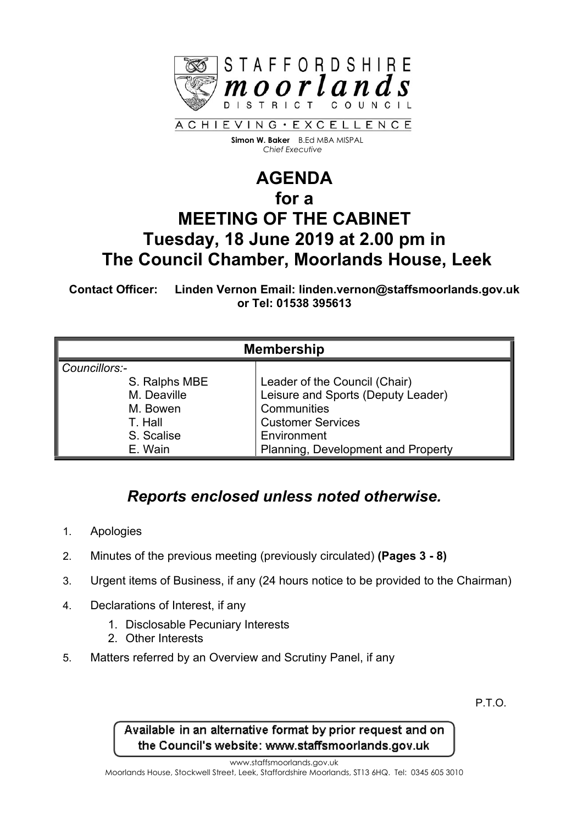

 **Simon W. Baker** B.Ed MBA MISPAL  *Chief Executive*

## **AGENDA for a MEETING OF THE CABINET Tuesday, 18 June 2019 at 2.00 pm in The Council Chamber, Moorlands House, Leek**

**Contact Officer: Linden Vernon Email: linden.vernon@staffsmoorlands.gov.uk or Tel: 01538 395613**

| <b>Membership</b> |                                    |
|-------------------|------------------------------------|
| Councillors:-     |                                    |
| S. Ralphs MBE     | Leader of the Council (Chair)      |
| M. Deaville       | Leisure and Sports (Deputy Leader) |
| M. Bowen          | Communities                        |
| T. Hall           | <b>Customer Services</b>           |
| S. Scalise        | Environment                        |
| E. Wain           | Planning, Development and Property |

## *Reports enclosed unless noted otherwise.*

- 1. Apologies
- 2. Minutes of the previous meeting (previously circulated) **(Pages 3 - 8)**
- 3. Urgent items of Business, if any (24 hours notice to be provided to the Chairman)
- 4. Declarations of Interest, if any
	- 1. Disclosable Pecuniary Interests
	- 2. Other Interests
- 5. Matters referred by an Overview and Scrutiny Panel, if any

P.T.O.

Available in an alternative format by prior request and on the Council's website: www.staffsmoorlands.gov.uk

www.staffsmoorlands.gov.uk

Moorlands House, Stockwell Street, Leek, Staffordshire Moorlands, ST13 6HQ. Tel: 0345 605 3010